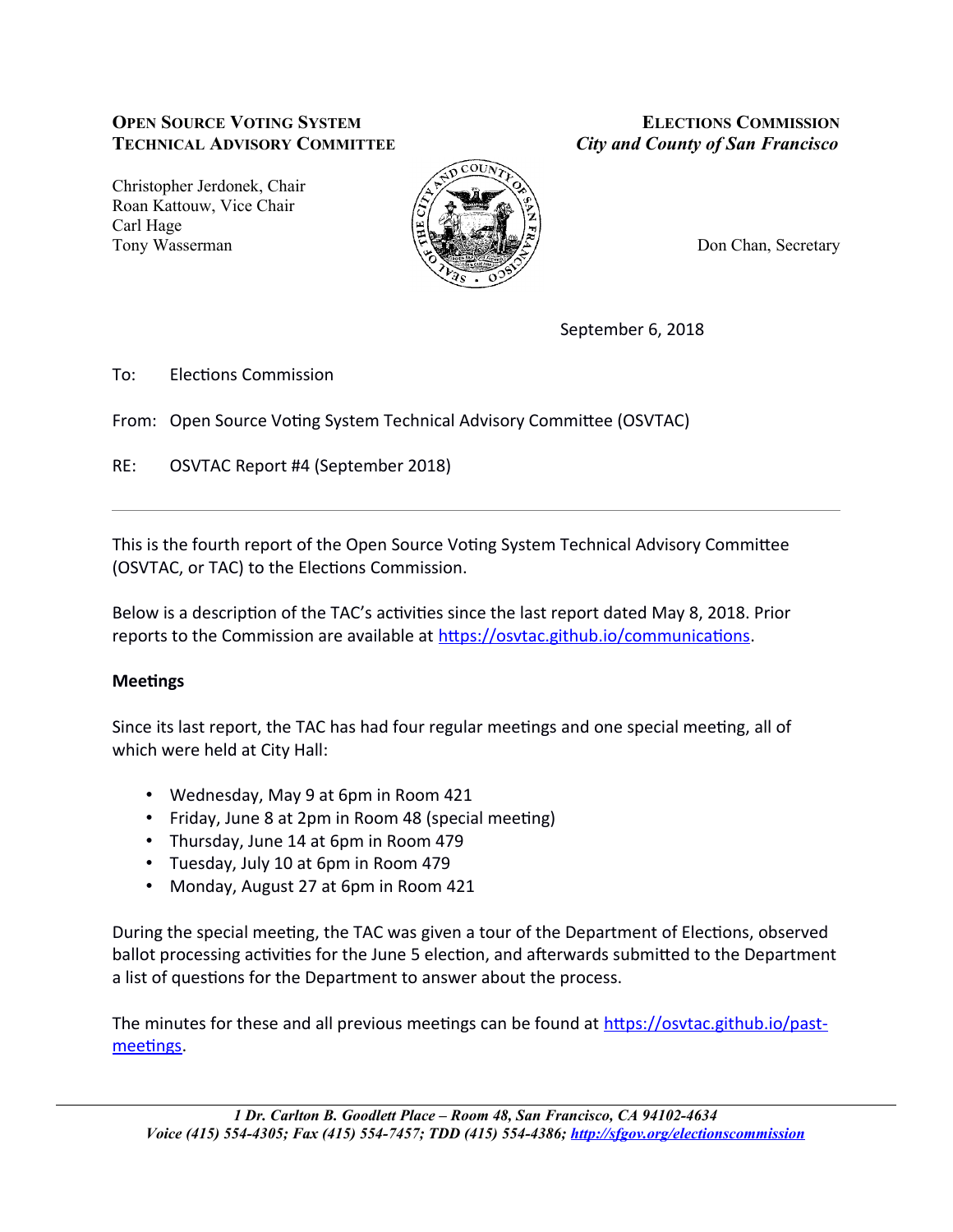### **OPEN SOURCE VOTING SYSTEM TECHNICAL ADVISORY COMMITTEE**

Christopher Jerdonek, Chair Roan Kattouw, Vice Chair Carl Hage Tony Wasserman



**ELECTIONS COMMISSION City and County of San Francisco** 

Don Chan, Secretary

September 6, 2018

 $To:$ **Elections Commission** 

From: Open Source Voting System Technical Advisory Committee (OSVTAC)

RE: OSVTAC Report #4 (September 2018)

This is the fourth report of the Open Source Voting System Technical Advisory Committee (OSVTAC, or TAC) to the Elections Commission.

Below is a description of the TAC's activities since the last report dated May 8, 2018. Prior reports to the Commission are available at https://osvtac.github.io/communications.

# **Meetings**

Since its last report, the TAC has had four regular meetings and one special meeting, all of which were held at City Hall:

- Wednesday, May 9 at 6pm in Room 421
- Friday, June 8 at 2pm in Room 48 (special meeting)
- Thursday, June 14 at 6pm in Room 479
- Tuesday, July 10 at 6pm in Room 479
- Monday, August 27 at 6pm in Room 421

During the special meeting, the TAC was given a tour of the Department of Elections, observed ballot processing activities for the June 5 election, and afterwards submitted to the Department a list of questions for the Department to answer about the process.

The minutes for these and all previous meetings can be found at https://osvtac.github.io/pastmeetings.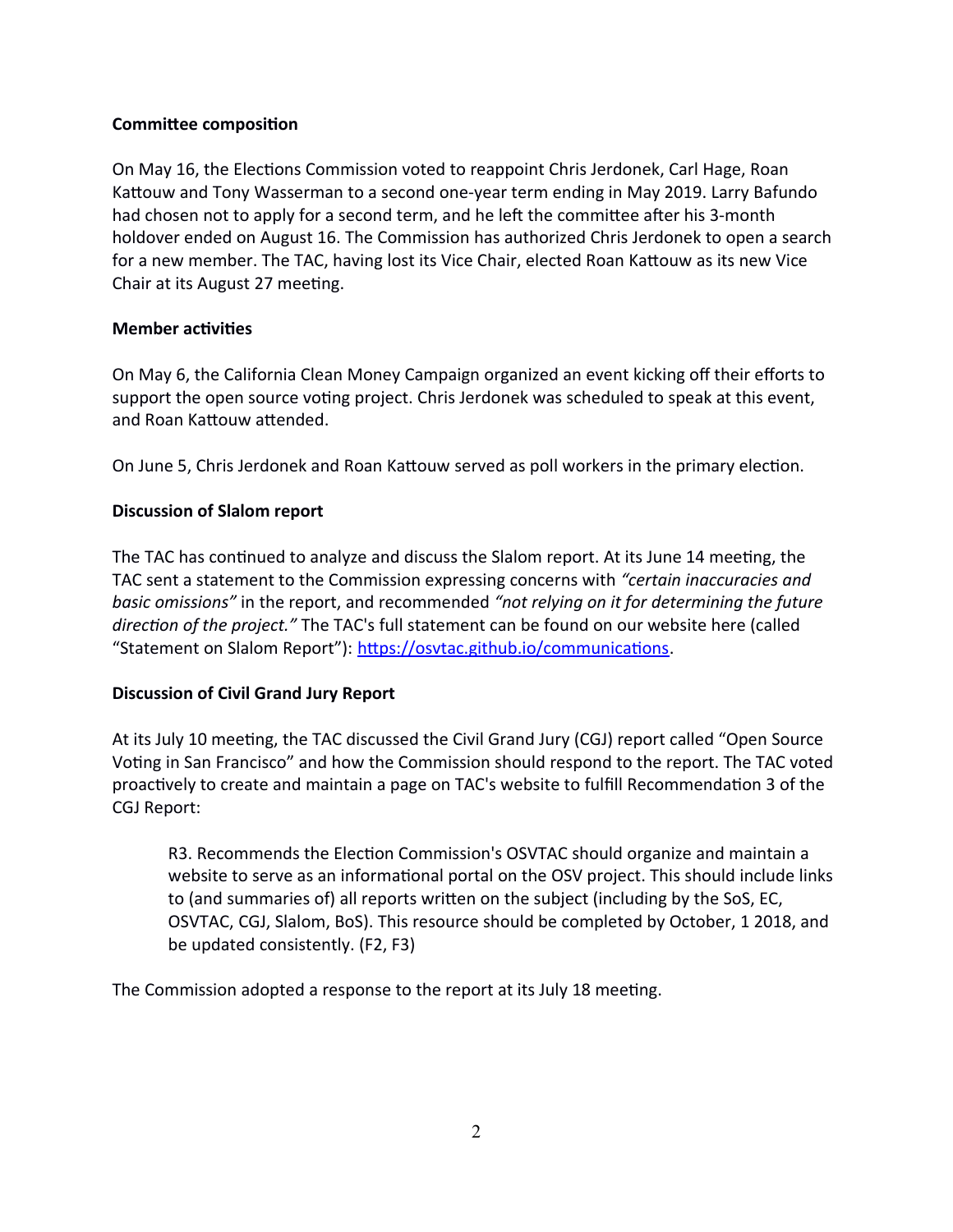### **Committee composition**

On May 16, the Elections Commission voted to reappoint Chris Jerdonek, Carl Hage, Roan Kattouw and Tony Wasserman to a second one-year term ending in May 2019. Larry Bafundo had chosen not to apply for a second term, and he left the committee after his 3-month holdover ended on August 16. The Commission has authorized Chris Jerdonek to open a search for a new member. The TAC, having lost its Vice Chair, elected Roan Kattouw as its new Vice Chair at its August 27 meeting.

### **Member activities**

On May 6, the California Clean Money Campaign organized an event kicking off their efforts to support the open source voting project. Chris Jerdonek was scheduled to speak at this event, and Roan Kattouw attended.

On June 5, Chris Jerdonek and Roan Kattouw served as poll workers in the primary election.

### **Discussion of Slalom report**

The TAC has continued to analyze and discuss the Slalom report. At its June 14 meeting, the TAC sent a statement to the Commission expressing concerns with "certain inaccuracies and basic omissions" in the report, and recommended "not relying on it for determining the future direction of the project." The TAC's full statement can be found on our website here (called "Statement on Slalom Report"): https://osvtac.github.io/communications.

# **Discussion of Civil Grand Jury Report**

At its July 10 meeting, the TAC discussed the Civil Grand Jury (CGJ) report called "Open Source Voting in San Francisco" and how the Commission should respond to the report. The TAC voted proactively to create and maintain a page on TAC's website to fulfill Recommendation 3 of the CGJ Report:

R3. Recommends the Election Commission's OSVTAC should organize and maintain a website to serve as an informational portal on the OSV project. This should include links to (and summaries of) all reports written on the subject (including by the SoS, EC, OSVTAC, CGJ, Slalom, BoS). This resource should be completed by October, 1 2018, and be updated consistently. (F2, F3)

The Commission adopted a response to the report at its July 18 meeting.